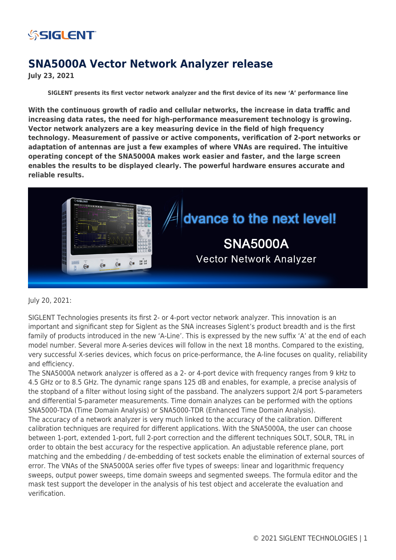

## **SNA5000A Vector Network Analyzer release**

**July 23, 2021**

**SIGLENT presents its first vector network analyzer and the first device of its new 'A' performance line**

**With the continuous growth of radio and cellular networks, the increase in data traffic and increasing data rates, the need for high-performance measurement technology is growing. Vector network analyzers are a key measuring device in the field of high frequency technology. Measurement of passive or active components, verification of 2-port networks or adaptation of antennas are just a few examples of where VNAs are required. The intuitive operating concept of the SNA5000A makes work easier and faster, and the large screen enables the results to be displayed clearly. The powerful hardware ensures accurate and reliable results.**



July 20, 2021:

SIGLENT Technologies presents its first 2- or 4-port vector network analyzer. This innovation is an important and significant step for Siglent as the SNA increases Siglent's product breadth and is the first family of products introduced in the new 'A-Line'. This is expressed by the new suffix 'A' at the end of each model number. Several more A-series devices will follow in the next 18 months. Compared to the existing, very successful X-series devices, which focus on price-performance, the A-line focuses on quality, reliability and efficiency.

The SNA5000A network analyzer is offered as a 2- or 4-port device with frequency ranges from 9 kHz to 4.5 GHz or to 8.5 GHz. The dynamic range spans 125 dB and enables, for example, a precise analysis of the stopband of a filter without losing sight of the passband. The analyzers support 2/4 port S-parameters and differential S-parameter measurements. Time domain analyzes can be performed with the options SNA5000-TDA (Time Domain Analysis) or SNA5000-TDR (Enhanced Time Domain Analysis). The accuracy of a network analyzer is very much linked to the accuracy of the calibration. Different calibration techniques are required for different applications. With the SNA5000A, the user can choose between 1-port, extended 1-port, full 2-port correction and the different techniques SOLT, SOLR, TRL in order to obtain the best accuracy for the respective application. An adjustable reference plane, port matching and the embedding / de-embedding of test sockets enable the elimination of external sources of error. The VNAs of the SNA5000A series offer five types of sweeps: linear and logarithmic frequency sweeps, output power sweeps, time domain sweeps and segmented sweeps. The formula editor and the mask test support the developer in the analysis of his test object and accelerate the evaluation and verification.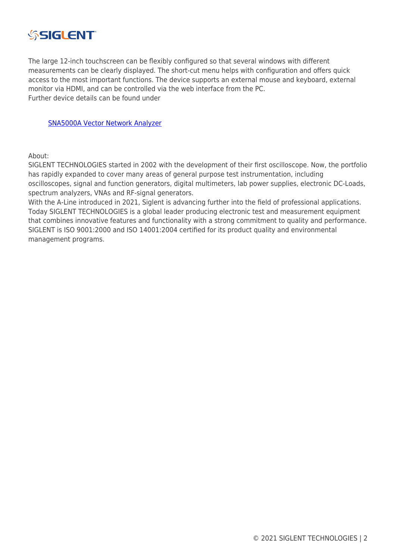

The large 12-inch touchscreen can be flexibly configured so that several windows with different measurements can be clearly displayed. The short-cut menu helps with configuration and offers quick access to the most important functions. The device supports an external mouse and keyboard, external monitor via HDMI, and can be controlled via the web interface from the PC. Further device details can be found under

[SNA5000A Vector Network Analyzer](https://siglentna.com/vector-network-analyzer/sna5000a/)

About:

SIGLENT TECHNOLOGIES started in 2002 with the development of their first oscilloscope. Now, the portfolio has rapidly expanded to cover many areas of general purpose test instrumentation, including oscilloscopes, signal and function generators, digital multimeters, lab power supplies, electronic DC-Loads, spectrum analyzers, VNAs and RF-signal generators.

With the A-Line introduced in 2021, Siglent is advancing further into the field of professional applications. Today SIGLENT TECHNOLOGIES is a global leader producing electronic test and measurement equipment that combines innovative features and functionality with a strong commitment to quality and performance. SIGLENT is ISO 9001:2000 and ISO 14001:2004 certified for its product quality and environmental management programs.